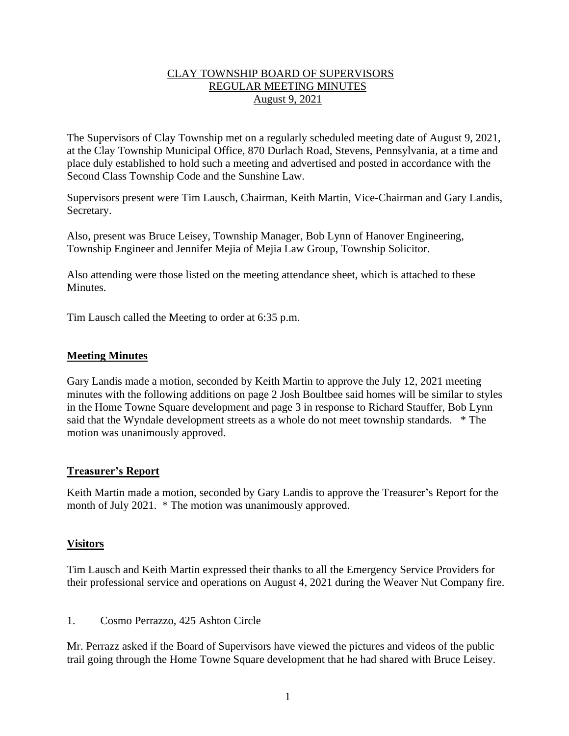# CLAY TOWNSHIP BOARD OF SUPERVISORS REGULAR MEETING MINUTES August 9, 2021

The Supervisors of Clay Township met on a regularly scheduled meeting date of August 9, 2021, at the Clay Township Municipal Office, 870 Durlach Road, Stevens, Pennsylvania, at a time and place duly established to hold such a meeting and advertised and posted in accordance with the Second Class Township Code and the Sunshine Law.

Supervisors present were Tim Lausch, Chairman, Keith Martin, Vice-Chairman and Gary Landis, Secretary.

Also, present was Bruce Leisey, Township Manager, Bob Lynn of Hanover Engineering, Township Engineer and Jennifer Mejia of Mejia Law Group, Township Solicitor.

Also attending were those listed on the meeting attendance sheet, which is attached to these Minutes.

Tim Lausch called the Meeting to order at 6:35 p.m.

## **Meeting Minutes**

Gary Landis made a motion, seconded by Keith Martin to approve the July 12, 2021 meeting minutes with the following additions on page 2 Josh Boultbee said homes will be similar to styles in the Home Towne Square development and page 3 in response to Richard Stauffer, Bob Lynn said that the Wyndale development streets as a whole do not meet township standards. \* The motion was unanimously approved.

## **Treasurer's Report**

Keith Martin made a motion, seconded by Gary Landis to approve the Treasurer's Report for the month of July 2021. \* The motion was unanimously approved.

## **Visitors**

Tim Lausch and Keith Martin expressed their thanks to all the Emergency Service Providers for their professional service and operations on August 4, 2021 during the Weaver Nut Company fire.

1. Cosmo Perrazzo, 425 Ashton Circle

Mr. Perrazz asked if the Board of Supervisors have viewed the pictures and videos of the public trail going through the Home Towne Square development that he had shared with Bruce Leisey.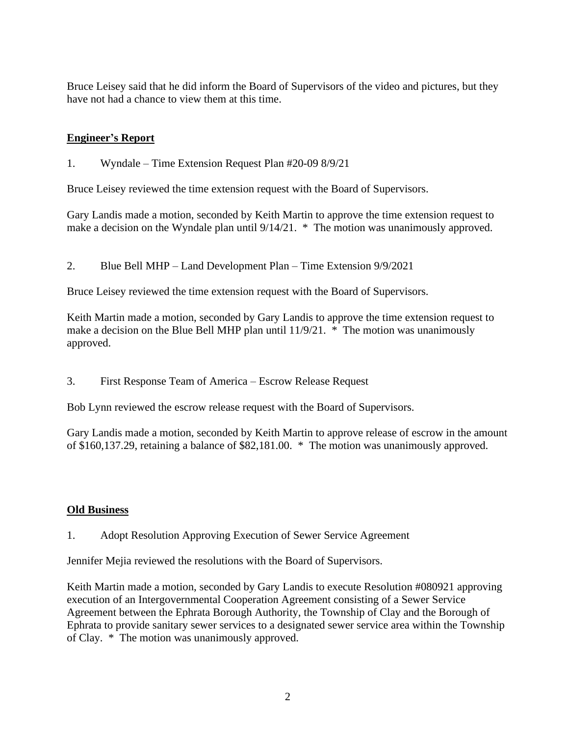Bruce Leisey said that he did inform the Board of Supervisors of the video and pictures, but they have not had a chance to view them at this time.

# **Engineer's Report**

1. Wyndale – Time Extension Request Plan #20-09 8/9/21

Bruce Leisey reviewed the time extension request with the Board of Supervisors.

Gary Landis made a motion, seconded by Keith Martin to approve the time extension request to make a decision on the Wyndale plan until 9/14/21. \* The motion was unanimously approved.

2. Blue Bell MHP – Land Development Plan – Time Extension 9/9/2021

Bruce Leisey reviewed the time extension request with the Board of Supervisors.

Keith Martin made a motion, seconded by Gary Landis to approve the time extension request to make a decision on the Blue Bell MHP plan until 11/9/21. \* The motion was unanimously approved.

3. First Response Team of America – Escrow Release Request

Bob Lynn reviewed the escrow release request with the Board of Supervisors.

Gary Landis made a motion, seconded by Keith Martin to approve release of escrow in the amount of \$160,137.29, retaining a balance of \$82,181.00. \* The motion was unanimously approved.

# **Old Business**

1. Adopt Resolution Approving Execution of Sewer Service Agreement

Jennifer Mejia reviewed the resolutions with the Board of Supervisors.

Keith Martin made a motion, seconded by Gary Landis to execute Resolution #080921 approving execution of an Intergovernmental Cooperation Agreement consisting of a Sewer Service Agreement between the Ephrata Borough Authority, the Township of Clay and the Borough of Ephrata to provide sanitary sewer services to a designated sewer service area within the Township of Clay. \* The motion was unanimously approved.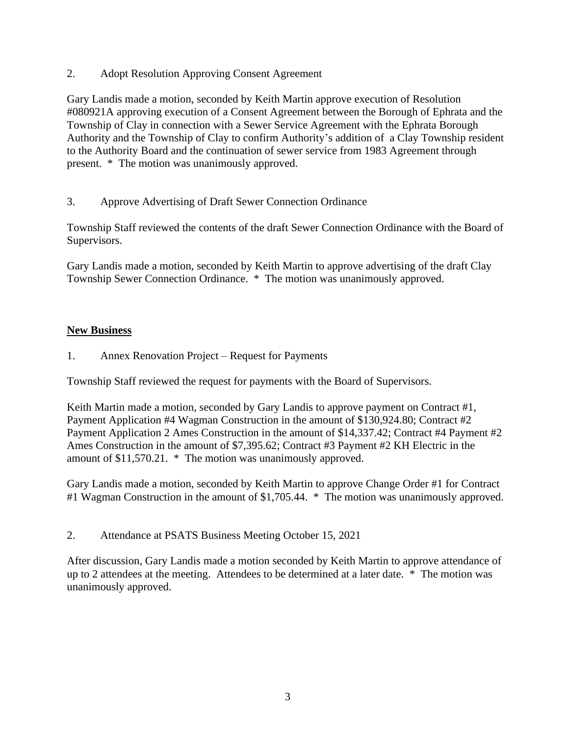2. Adopt Resolution Approving Consent Agreement

Gary Landis made a motion, seconded by Keith Martin approve execution of Resolution #080921A approving execution of a Consent Agreement between the Borough of Ephrata and the Township of Clay in connection with a Sewer Service Agreement with the Ephrata Borough Authority and the Township of Clay to confirm Authority's addition of a Clay Township resident to the Authority Board and the continuation of sewer service from 1983 Agreement through present. \* The motion was unanimously approved.

3. Approve Advertising of Draft Sewer Connection Ordinance

Township Staff reviewed the contents of the draft Sewer Connection Ordinance with the Board of Supervisors.

Gary Landis made a motion, seconded by Keith Martin to approve advertising of the draft Clay Township Sewer Connection Ordinance. \* The motion was unanimously approved.

# **New Business**

1. Annex Renovation Project – Request for Payments

Township Staff reviewed the request for payments with the Board of Supervisors.

Keith Martin made a motion, seconded by Gary Landis to approve payment on Contract #1, Payment Application #4 Wagman Construction in the amount of \$130,924.80; Contract #2 Payment Application 2 Ames Construction in the amount of \$14,337.42; Contract #4 Payment #2 Ames Construction in the amount of \$7,395.62; Contract #3 Payment #2 KH Electric in the amount of \$11,570.21. \* The motion was unanimously approved.

Gary Landis made a motion, seconded by Keith Martin to approve Change Order #1 for Contract #1 Wagman Construction in the amount of \$1,705.44. \* The motion was unanimously approved.

2. Attendance at PSATS Business Meeting October 15, 2021

After discussion, Gary Landis made a motion seconded by Keith Martin to approve attendance of up to 2 attendees at the meeting. Attendees to be determined at a later date. \* The motion was unanimously approved.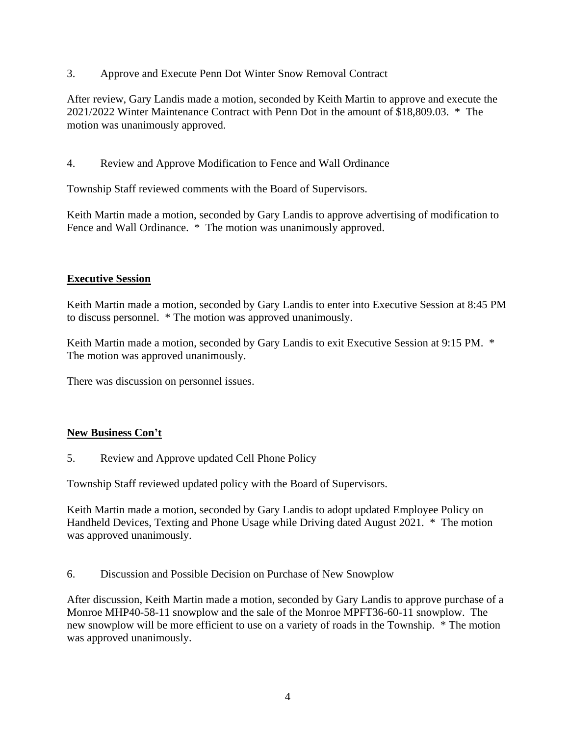3. Approve and Execute Penn Dot Winter Snow Removal Contract

After review, Gary Landis made a motion, seconded by Keith Martin to approve and execute the 2021/2022 Winter Maintenance Contract with Penn Dot in the amount of \$18,809.03. \* The motion was unanimously approved.

4. Review and Approve Modification to Fence and Wall Ordinance

Township Staff reviewed comments with the Board of Supervisors.

Keith Martin made a motion, seconded by Gary Landis to approve advertising of modification to Fence and Wall Ordinance. \* The motion was unanimously approved.

# **Executive Session**

Keith Martin made a motion, seconded by Gary Landis to enter into Executive Session at 8:45 PM to discuss personnel. \* The motion was approved unanimously.

Keith Martin made a motion, seconded by Gary Landis to exit Executive Session at 9:15 PM. \* The motion was approved unanimously.

There was discussion on personnel issues.

# **New Business Con't**

5. Review and Approve updated Cell Phone Policy

Township Staff reviewed updated policy with the Board of Supervisors.

Keith Martin made a motion, seconded by Gary Landis to adopt updated Employee Policy on Handheld Devices, Texting and Phone Usage while Driving dated August 2021. \* The motion was approved unanimously.

6. Discussion and Possible Decision on Purchase of New Snowplow

After discussion, Keith Martin made a motion, seconded by Gary Landis to approve purchase of a Monroe MHP40-58-11 snowplow and the sale of the Monroe MPFT36-60-11 snowplow. The new snowplow will be more efficient to use on a variety of roads in the Township. \* The motion was approved unanimously.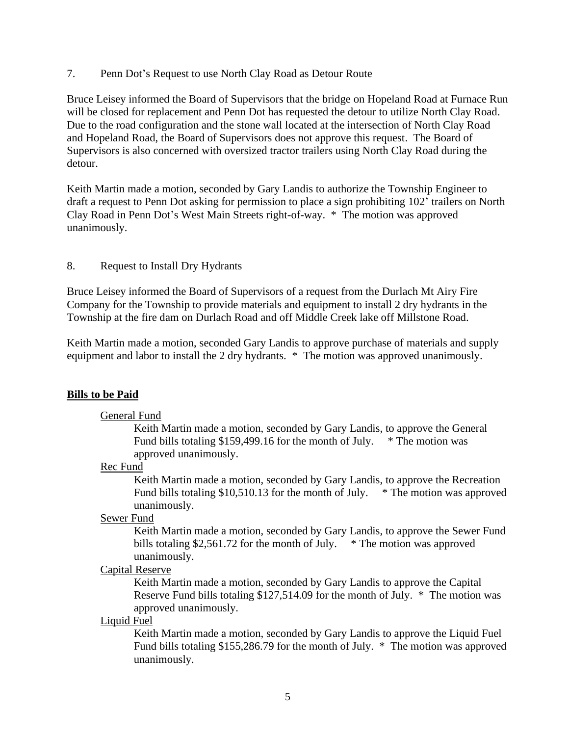7. Penn Dot's Request to use North Clay Road as Detour Route

Bruce Leisey informed the Board of Supervisors that the bridge on Hopeland Road at Furnace Run will be closed for replacement and Penn Dot has requested the detour to utilize North Clay Road. Due to the road configuration and the stone wall located at the intersection of North Clay Road and Hopeland Road, the Board of Supervisors does not approve this request. The Board of Supervisors is also concerned with oversized tractor trailers using North Clay Road during the detour.

Keith Martin made a motion, seconded by Gary Landis to authorize the Township Engineer to draft a request to Penn Dot asking for permission to place a sign prohibiting 102' trailers on North Clay Road in Penn Dot's West Main Streets right-of-way. \* The motion was approved unanimously.

## 8. Request to Install Dry Hydrants

Bruce Leisey informed the Board of Supervisors of a request from the Durlach Mt Airy Fire Company for the Township to provide materials and equipment to install 2 dry hydrants in the Township at the fire dam on Durlach Road and off Middle Creek lake off Millstone Road.

Keith Martin made a motion, seconded Gary Landis to approve purchase of materials and supply equipment and labor to install the 2 dry hydrants. \* The motion was approved unanimously.

# **Bills to be Paid**

## General Fund

Keith Martin made a motion, seconded by Gary Landis, to approve the General Fund bills totaling \$159,499.16 for the month of July.  $*$  The motion was approved unanimously.

## Rec Fund

Keith Martin made a motion, seconded by Gary Landis, to approve the Recreation Fund bills totaling \$10,510.13 for the month of July. \* The motion was approved unanimously.

## Sewer Fund

Keith Martin made a motion, seconded by Gary Landis, to approve the Sewer Fund bills totaling \$2,561.72 for the month of July.  $*$  The motion was approved unanimously.

## Capital Reserve

Keith Martin made a motion, seconded by Gary Landis to approve the Capital Reserve Fund bills totaling \$127,514.09 for the month of July. \* The motion was approved unanimously.

## Liquid Fuel

Keith Martin made a motion, seconded by Gary Landis to approve the Liquid Fuel Fund bills totaling \$155,286.79 for the month of July. \* The motion was approved unanimously.